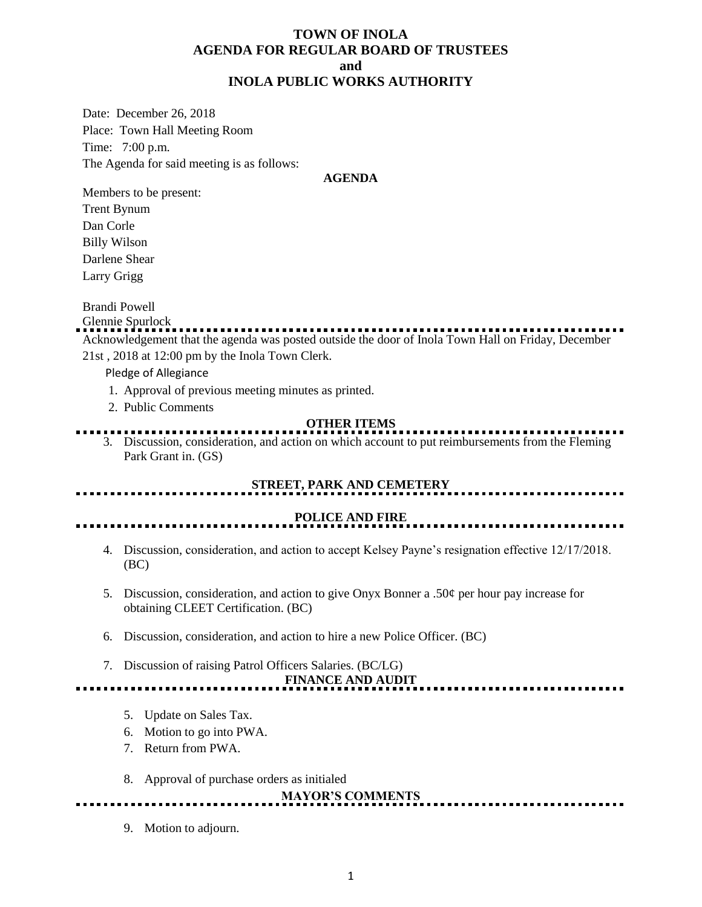## **TOWN OF INOLA AGENDA FOR REGULAR BOARD OF TRUSTEES and INOLA PUBLIC WORKS AUTHORITY**

Date: December 26, 2018 Place: Town Hall Meeting Room Time: 7:00 p.m. The Agenda for said meeting is as follows:

#### **AGENDA**

Members to be present: Trent Bynum

Dan Corle Billy Wilson Darlene Shear Larry Grigg

Brandi Powell

#### Glennie Spurlock

Acknowledgement that the agenda was posted outside the door of Inola Town Hall on Friday, December 21st , 2018 at 12:00 pm by the Inola Town Clerk.

Pledge of Allegiance

- 1. Approval of previous meeting minutes as printed.
- 2. Public Comments

## **OTHER ITEMS**

3. Discussion, consideration, and action on which account to put reimbursements from the Fleming Park Grant in. (GS)

## **STREET, PARK AND CEMETERY**

### **POLICE AND FIRE**

4. Discussion, consideration, and action to accept Kelsey Payne's resignation effective 12/17/2018. (BC)

- 5. Discussion, consideration, and action to give Onyx Bonner a .50 $\varphi$  per hour pay increase for obtaining CLEET Certification. (BC)
- 6. Discussion, consideration, and action to hire a new Police Officer. (BC)
- 7. Discussion of raising Patrol Officers Salaries. (BC/LG)

**FINANCE AND AUDIT** <u>...................</u>.

- 5. Update on Sales Tax.
- 6. Motion to go into PWA.
- 7. Return from PWA.
- 8. Approval of purchase orders as initialed

# **MAYOR'S COMMENTS**

9. Motion to adjourn.